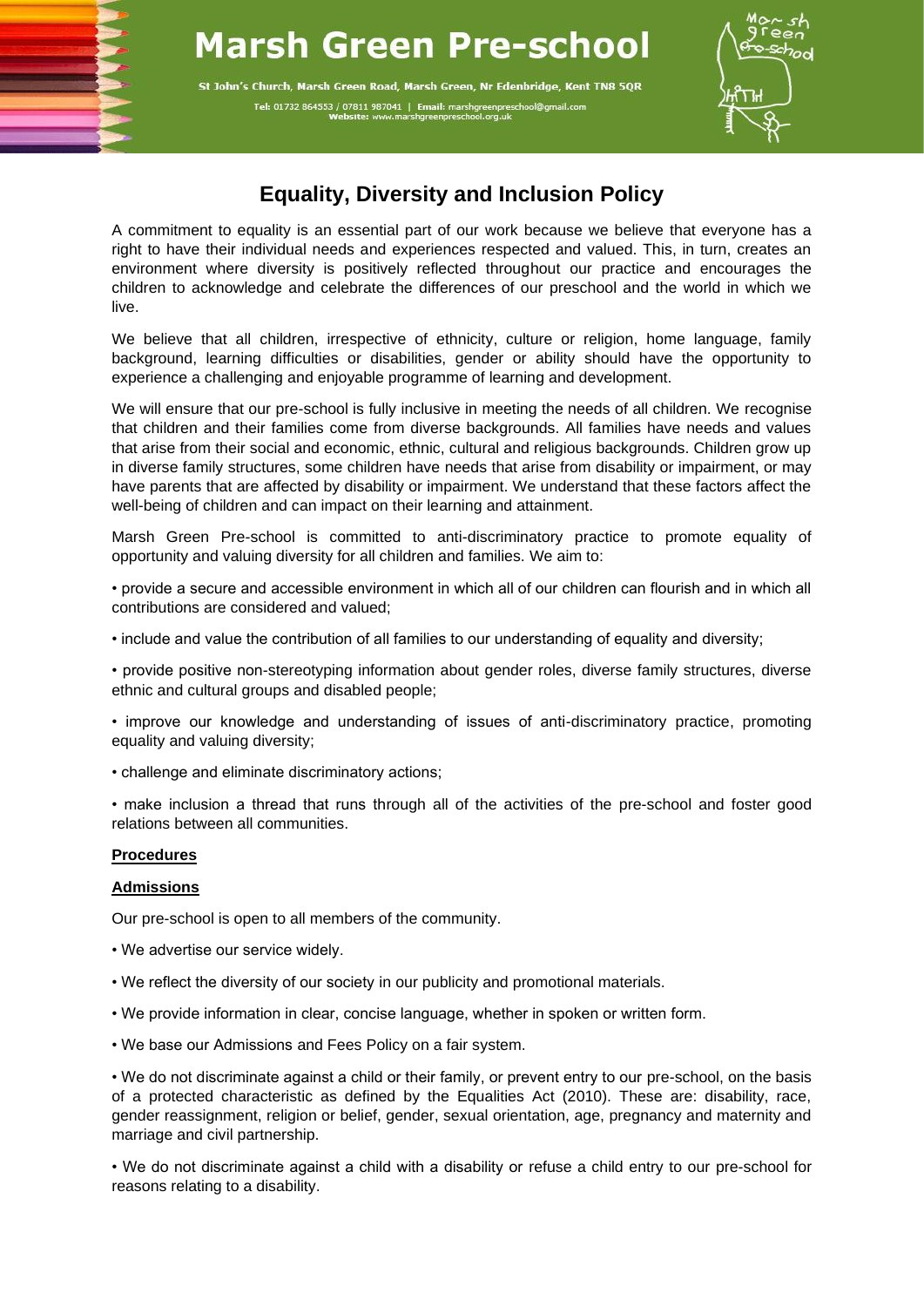# **Marsh Green Pre-school**

St John's Church, Marsh Green Road, Marsh Green, Nr Edenbridge, Kent TN8 5QR Tel: 01732 864553 / 07811 987041 | Email: marshgreenpresch



## **Equality, Diversity and Inclusion Policy**

A commitment to equality is an essential part of our work because we believe that everyone has a right to have their individual needs and experiences respected and valued. This, in turn, creates an environment where diversity is positively reflected throughout our practice and encourages the children to acknowledge and celebrate the differences of our preschool and the world in which we live.

We believe that all children, irrespective of ethnicity, culture or religion, home language, family background, learning difficulties or disabilities, gender or ability should have the opportunity to experience a challenging and enjoyable programme of learning and development.

We will ensure that our pre-school is fully inclusive in meeting the needs of all children. We recognise that children and their families come from diverse backgrounds. All families have needs and values that arise from their social and economic, ethnic, cultural and religious backgrounds. Children grow up in diverse family structures, some children have needs that arise from disability or impairment, or may have parents that are affected by disability or impairment. We understand that these factors affect the well-being of children and can impact on their learning and attainment.

Marsh Green Pre-school is committed to anti-discriminatory practice to promote equality of opportunity and valuing diversity for all children and families. We aim to:

• provide a secure and accessible environment in which all of our children can flourish and in which all contributions are considered and valued;

• include and value the contribution of all families to our understanding of equality and diversity;

• provide positive non-stereotyping information about gender roles, diverse family structures, diverse ethnic and cultural groups and disabled people;

• improve our knowledge and understanding of issues of anti-discriminatory practice, promoting equality and valuing diversity;

• challenge and eliminate discriminatory actions;

• make inclusion a thread that runs through all of the activities of the pre-school and foster good relations between all communities.

#### **Procedures**

#### **Admissions**

Our pre-school is open to all members of the community.

- We advertise our service widely.
- We reflect the diversity of our society in our publicity and promotional materials.
- We provide information in clear, concise language, whether in spoken or written form.
- We base our Admissions and Fees Policy on a fair system.

• We do not discriminate against a child or their family, or prevent entry to our pre-school, on the basis of a protected characteristic as defined by the Equalities Act (2010). These are: disability, race, gender reassignment, religion or belief, gender, sexual orientation, age, pregnancy and maternity and marriage and civil partnership.

• We do not discriminate against a child with a disability or refuse a child entry to our pre-school for reasons relating to a disability.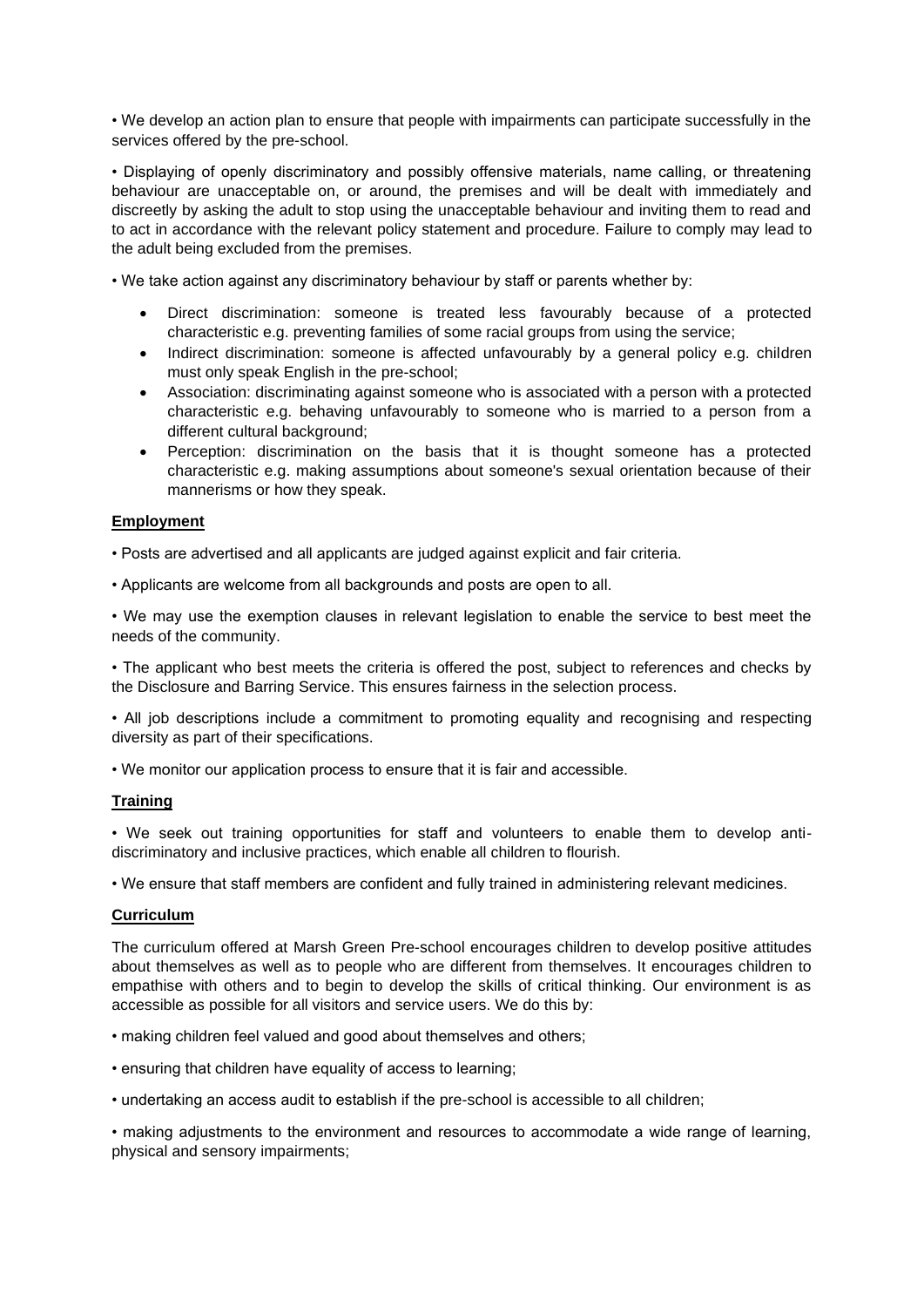• We develop an action plan to ensure that people with impairments can participate successfully in the services offered by the pre-school.

• Displaying of openly discriminatory and possibly offensive materials, name calling, or threatening behaviour are unacceptable on, or around, the premises and will be dealt with immediately and discreetly by asking the adult to stop using the unacceptable behaviour and inviting them to read and to act in accordance with the relevant policy statement and procedure. Failure to comply may lead to the adult being excluded from the premises.

• We take action against any discriminatory behaviour by staff or parents whether by:

- Direct discrimination: someone is treated less favourably because of a protected characteristic e.g. preventing families of some racial groups from using the service;
- Indirect discrimination: someone is affected unfavourably by a general policy e.g. children must only speak English in the pre-school;
- Association: discriminating against someone who is associated with a person with a protected characteristic e.g. behaving unfavourably to someone who is married to a person from a different cultural background;
- Perception: discrimination on the basis that it is thought someone has a protected characteristic e.g. making assumptions about someone's sexual orientation because of their mannerisms or how they speak.

#### **Employment**

• Posts are advertised and all applicants are judged against explicit and fair criteria.

• Applicants are welcome from all backgrounds and posts are open to all.

• We may use the exemption clauses in relevant legislation to enable the service to best meet the needs of the community.

• The applicant who best meets the criteria is offered the post, subject to references and checks by the Disclosure and Barring Service. This ensures fairness in the selection process.

• All job descriptions include a commitment to promoting equality and recognising and respecting diversity as part of their specifications.

• We monitor our application process to ensure that it is fair and accessible.

#### **Training**

• We seek out training opportunities for staff and volunteers to enable them to develop antidiscriminatory and inclusive practices, which enable all children to flourish.

• We ensure that staff members are confident and fully trained in administering relevant medicines.

#### **Curriculum**

The curriculum offered at Marsh Green Pre-school encourages children to develop positive attitudes about themselves as well as to people who are different from themselves. It encourages children to empathise with others and to begin to develop the skills of critical thinking. Our environment is as accessible as possible for all visitors and service users. We do this by:

• making children feel valued and good about themselves and others;

• ensuring that children have equality of access to learning;

• undertaking an access audit to establish if the pre-school is accessible to all children;

• making adjustments to the environment and resources to accommodate a wide range of learning, physical and sensory impairments;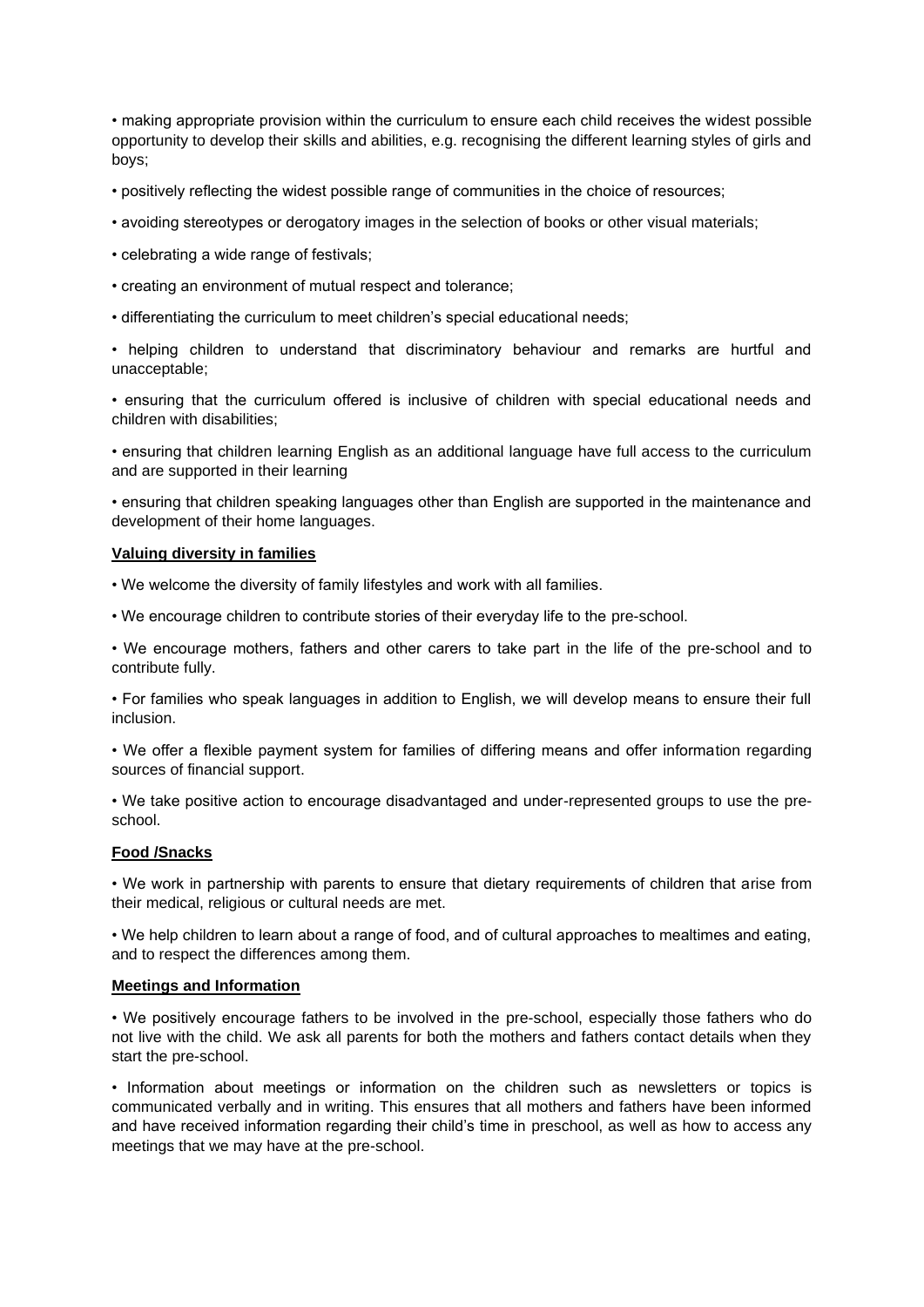• making appropriate provision within the curriculum to ensure each child receives the widest possible opportunity to develop their skills and abilities, e.g. recognising the different learning styles of girls and boys;

• positively reflecting the widest possible range of communities in the choice of resources;

- avoiding stereotypes or derogatory images in the selection of books or other visual materials;
- celebrating a wide range of festivals;
- creating an environment of mutual respect and tolerance;
- differentiating the curriculum to meet children's special educational needs;

• helping children to understand that discriminatory behaviour and remarks are hurtful and unacceptable;

• ensuring that the curriculum offered is inclusive of children with special educational needs and children with disabilities;

• ensuring that children learning English as an additional language have full access to the curriculum and are supported in their learning

• ensuring that children speaking languages other than English are supported in the maintenance and development of their home languages.

#### **Valuing diversity in families**

• We welcome the diversity of family lifestyles and work with all families.

• We encourage children to contribute stories of their everyday life to the pre-school.

• We encourage mothers, fathers and other carers to take part in the life of the pre-school and to contribute fully.

• For families who speak languages in addition to English, we will develop means to ensure their full inclusion.

• We offer a flexible payment system for families of differing means and offer information regarding sources of financial support.

• We take positive action to encourage disadvantaged and under-represented groups to use the preschool.

#### **Food /Snacks**

• We work in partnership with parents to ensure that dietary requirements of children that arise from their medical, religious or cultural needs are met.

• We help children to learn about a range of food, and of cultural approaches to mealtimes and eating, and to respect the differences among them.

#### **Meetings and Information**

• We positively encourage fathers to be involved in the pre-school, especially those fathers who do not live with the child. We ask all parents for both the mothers and fathers contact details when they start the pre-school.

• Information about meetings or information on the children such as newsletters or topics is communicated verbally and in writing. This ensures that all mothers and fathers have been informed and have received information regarding their child's time in preschool, as well as how to access any meetings that we may have at the pre-school.